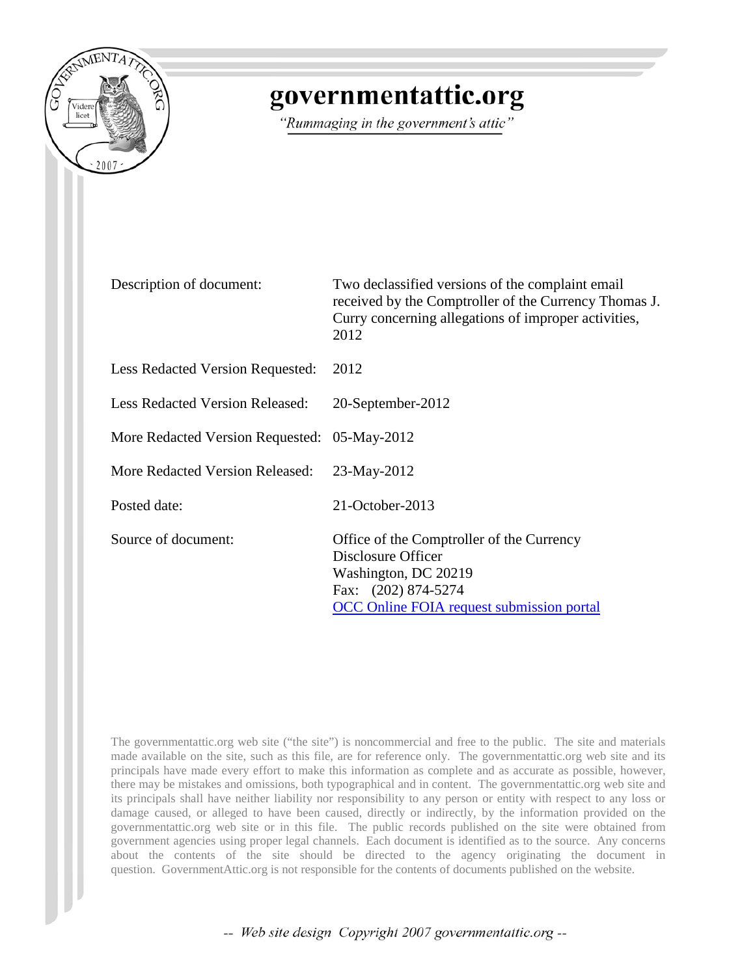

## governmentattic.org

"Rummaging in the government's attic"

Description of document: Two declassified versions of the complaint email received by the Comptroller of the Currency Thomas J. Curry concerning allegations of improper activities, 2012 Less Redacted Version Requested: 2012 Less Redacted Version Released: 20-September-2012 More Redacted Version Requested: 05-May-2012 More Redacted Version Released: 23-May-2012 Posted date: 21-October-2013 Source of document: Office of the Comptroller of the Currency Disclosure Officer Washington, DC 20219 Fax: (202) 874-5274 OCC Online FOIA request submission portal

The governmentattic.org web site ("the site") is noncommercial and free to the public. The site and materials made available on the site, such as this file, are for reference only. The governmentattic.org web site and its principals have made every effort to make this information as complete and as accurate as possible, however, there may be mistakes and omissions, both typographical and in content. The governmentattic.org web site and its principals shall have neither liability nor responsibility to any person or entity with respect to any loss or damage caused, or alleged to have been caused, directly or indirectly, by the information provided on the governmentattic.org web site or in this file. The public records published on the site were obtained from government agencies using proper legal channels. Each document is identified as to the source. Any concerns about the contents of the site should be directed to the agency originating the document in question. GovernmentAttic.org is not responsible for the contents of documents published on the website.

-- Web site design Copyright 2007 governmentattic.org --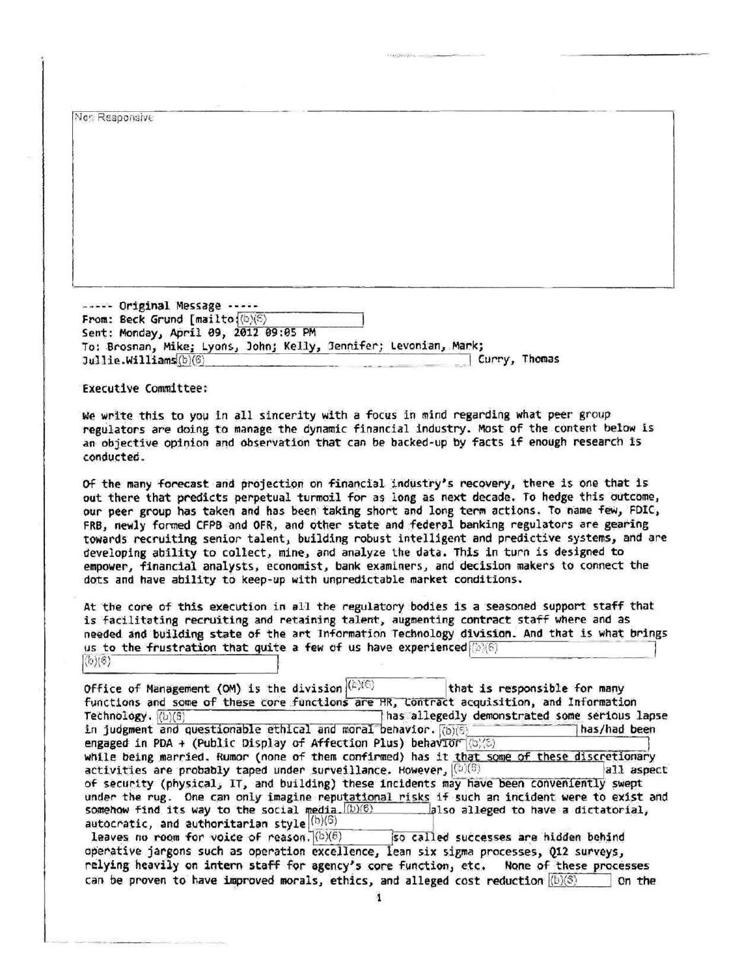Nor Responsive - - - -- Original Message - ----- From: Beck Grund [mailto:(b)(6) Sent: Monday, April 09, 2012 09:05 PM To: Brosnan, Mike; Lyons, John; Kelly, Jennifer; Levonian, Mark; Curry, Thomas<br>Jullie.Williams(b)(6) Executive Committee: We write this to you in all sincerity with a focus in mind regarding what peer group regulators are doing to manage the dynamic financial industry. Most of the content below is an objective opinion and observation that can be backed-up by facts if enough research is conducted. Of the many forecast and projection on financial industry's recovery, there is one that is out there that predicts perpetual turmoil for as long as next decade. To hedge this outcome, our peer group has taken and has been taking short and long term actions. To name few, FDIC, FRB, newly formed CFPB and OFR, and other state and federal banking regulators are gearing towards recruiting senior talent, building robust intelligent and predictive systems, and are developing ability to collect, mine, and analyze the data. This in turn is designed to empower, financial analysts, economist, bank examiners, and decision makers to connect the dots and have ability to keep-up with unpredictable market conditions. At the core of this execution in all the regulatory bodies is a seasoned support staff that is facilitating recruiting and retaining talent, augmenting contract staff where and as needed and building state of the art Information Technology division. And that is what brings  $\frac{1}{\sqrt{2}}$  and building state of the art information reconology division. And that is what bring  $\frac{d}{d\phi}$  is to the frustration that quite Office of Management (OM) is the division  $\ket{c}\ket{c}$   $\qquad$  that is responsible for many functions and some of these core functions are HR, Contract acquisition, and Information<br>Technology.  $([b)(6)]$  as allegedly demonstrated some serious I has allegedly demonstrated some serious lapse in judg111ent and que~ti9nable fi!thlcal ~nd mora~ behavior. Rb)(S) - =--1 has/had been engaged in PDA + (Public Display of Affection Plus) behavior  $|\langle b \rangle \langle b \rangle$ while being married. Rumor (none of them confirmed) has it that some of these discretionary<br>activities are probably taped under surveillance. However,  $(0)(6)$ activities are probably taped under surveillance. However,  $\left[\text{(5)}\right]$ of security (physical, IT, and building) these incidents may have been conveniently swept<br>under the rug. One can only imagine reputational risks if such an incident were to exist and somehow find its way to the social media.  $(b)(6)$  also alleged to have a dictatorial,<br>autocratic, and authoritarian style  $\binom{(b)(6)}{6}$  so called successes are hidden behind operative jargons such as operation excellence, lean six sigma processes, Q12 surveys, relying heavily on intern staff for agency's core function, etc. None of these processes can be proven to have improved morals, ethics, and alleged cost reduction  $\langle \mathbf{b} \rangle \langle \mathbf{S} \rangle$  On the 'i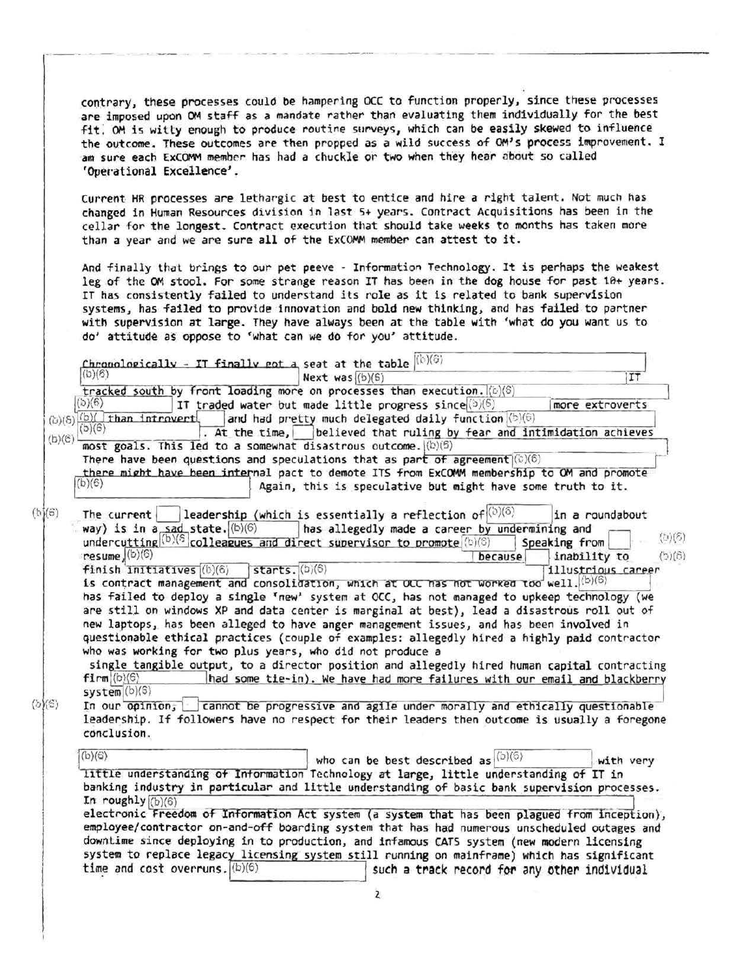contrary, these processes could be hampering OCC to function properly, since these processes are imposed upon OM staff as a mandate rather than evaluating them individually for the best fit. OM is witty enough to produce routine surveys, which can be easily skewed to influence the outcome. These outcomes are then propped as a wild success of OM's process improvement. I am sure each ExCOMM member has had a chuckle or two when they hear about so called 'Operational Excellence'.

Current HR processes are lethargic at best to entice and hire a right talent. Not much has changed in Human Resources division in last 5+ years. Contract Acquisitions has been in the cellar for the longest. Contract execution that should take weeks to months has taken more than a year and we are sure all of the ExCOMM member can attest to it.

And finally that brings to our pet peeve - Information Technology. It is perhaps the weakest leg of the OM stool. For some strange reason IT has been in the dog house for past 10+ years. IT has consistently failed to understand its role as it is related to bank supervision systems, has failed to provide innovation and bold new thinking, and has failed to partner with supervision at large. They have always been at the table with 'wflat do you want us to do' attitude as oppose to 'what can we do for you' attitude.

|                                       | $\frac{\text{Chronoloeically}}{\text{ChV(6)}}$ - IT finally ept $A_i$ seat at the table $\frac{ \text{ch}(6) }{ \text{ChV(6)} }$ |                         |
|---------------------------------------|----------------------------------------------------------------------------------------------------------------------------------|-------------------------|
|                                       | (b)(6)<br>Next was $(b)(6)$                                                                                                      | IT                      |
|                                       | tracked south by front loading more on processes than execution. (0)(6)                                                          |                         |
|                                       | (b)(6)<br>IT traded water but made little progress since (b)(6)                                                                  | more extroverts         |
|                                       | $(b)(5)(b)(\overline{\text{than intravert}})$<br>and had pretty much delegated daily function (b)(6)                             |                         |
| (b)(e)                                | (b)(6)<br>. At the time, believed that ruling by fear and intimidation achieves                                                  |                         |
|                                       | most goals. This led to a somewhat disastrous outcome. ((b)(6)                                                                   |                         |
|                                       | There have been questions and speculations that as part of agreement $(\circ)(6)$                                                |                         |
|                                       | there might have been internal pact to demote ITS from ExCOMM membership to OM and promote                                       |                         |
|                                       | (b)(6)<br>Again, this is speculative but might have some truth to it.                                                            |                         |
|                                       |                                                                                                                                  |                         |
| $(b)(\hat{\sigma})$                   | $\int$ leadership (which is essentially a reflection of $\left \frac{\langle b\rangle}{\langle 0\rangle}\right $<br>The current  | in a roundabout         |
|                                       | way) is in $a$ sad state. $(b)(6)$<br>has allegedly made a career by undermining and                                             |                         |
|                                       | undercutting (b) (6 colleagues and direct supervisor to promote (b) (6)                                                          | (5)(3)<br>Speaking from |
|                                       | $resume$ (b)(6)<br>because                                                                                                       | (5)(8)<br>inability to  |
|                                       | finish initiatives (b)(6)<br>$star$ starts. $(b)(6)$                                                                             | illustrious career      |
|                                       | is contract management and consolidation, which at OLC has not worked too well. (b)(6)                                           |                         |
|                                       | has failed to deploy a single 'new' system at OCC, has not managed to upkeep technology (we                                      |                         |
|                                       | are still on windows XP and data center is marginal at best), lead a disastrous roll out of                                      |                         |
|                                       | new laptops, has been alleged to have anger management issues, and has been involved in                                          |                         |
|                                       | questionable ethical practices (couple of examples: allegedly hired a highly paid contractor                                     |                         |
|                                       | who was working for two plus years, who did not produce a                                                                        |                         |
|                                       |                                                                                                                                  |                         |
|                                       | single tangible output, to a director position and allegedly hired human capital contracting                                     |                         |
|                                       | $film \mid (b)(6)$<br>had some tie-in). We have had more failures with our email and blackberry                                  |                         |
| $\langle 5 \rangle \langle 5 \rangle$ | system(b)(6)                                                                                                                     |                         |
|                                       | In our opinion, cannot be progressive and agile under morally and ethically questionable                                         |                         |
|                                       | leadership. If followers have no respect for their leaders then outcome is usually a foregone                                    |                         |
|                                       | conclusion.                                                                                                                      |                         |
|                                       | (b)(6)                                                                                                                           |                         |
|                                       | who can be best described as $  (b) (6)$                                                                                         | with very               |
|                                       | little understanding of Information Technology at large, little understanding of IT in                                           |                         |
|                                       | banking industry in particular and little understanding of basic bank supervision processes.                                     |                         |
|                                       | In roughly $(6)(6)$                                                                                                              |                         |
|                                       | electronic Freedom of Information Act system (a system that has been plagued from inception),                                    |                         |
|                                       | employee/contractor on-and-off boarding system that has had numerous unscheduled outages and                                     |                         |
|                                       | downtime since deploying in to production, and infamous CATS system (new modern licensing                                        |                         |
|                                       | system to replace legacy licensing system still running on mainframe) which has significant                                      |                         |
|                                       | time and cost overruns. $(b)(6)$<br>such a track record for any other individual                                                 |                         |
|                                       |                                                                                                                                  |                         |
|                                       |                                                                                                                                  |                         |

2,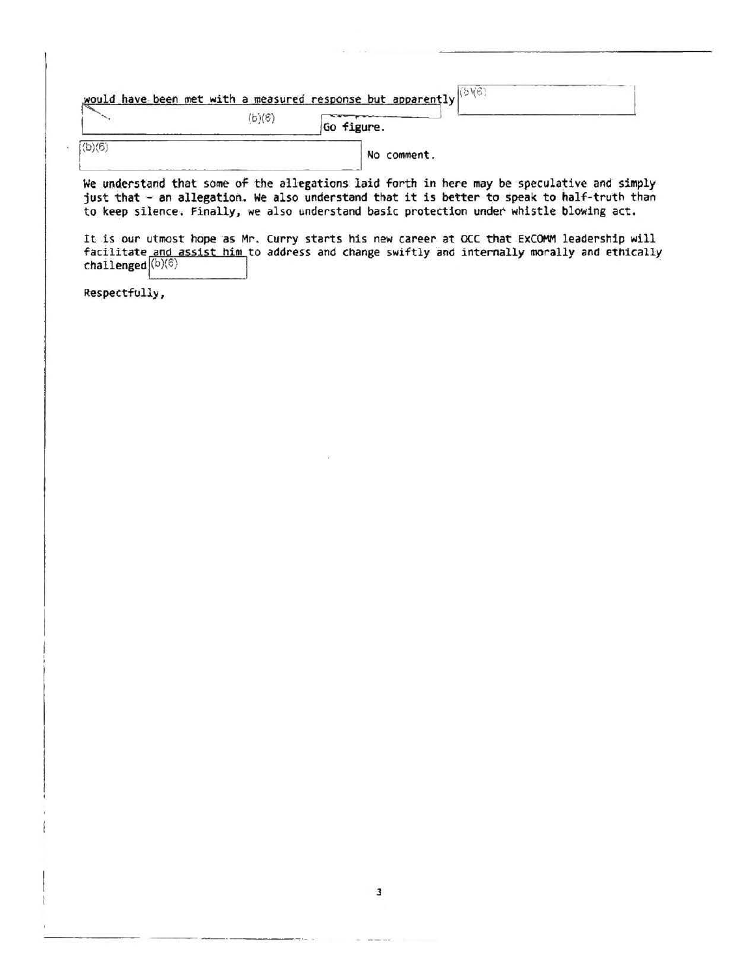|       |        | would have been met with a measured response but apparently |  |
|-------|--------|-------------------------------------------------------------|--|
|       | (b)(6) | Go figure.                                                  |  |
| (b)/6 |        | No comment.                                                 |  |

We understand that some of the allegations laid forth in here may be speculative and simply just that - an allegation. We also understand that it is better to speak to half-truth than to keep silence. Finally, we also understand basic protection under whistle blowing act.

It is our utmost hope as Mr. Curry starts his new career at OCC that ExCOMM leadership will facilitate and assist him to address and change swiftly and internally morally and ethically challenged  $\left|\frac{\text{(b)}(\mathbf{c})}{\text{(b)}(\mathbf{c})}\right|$ 

Respectfully,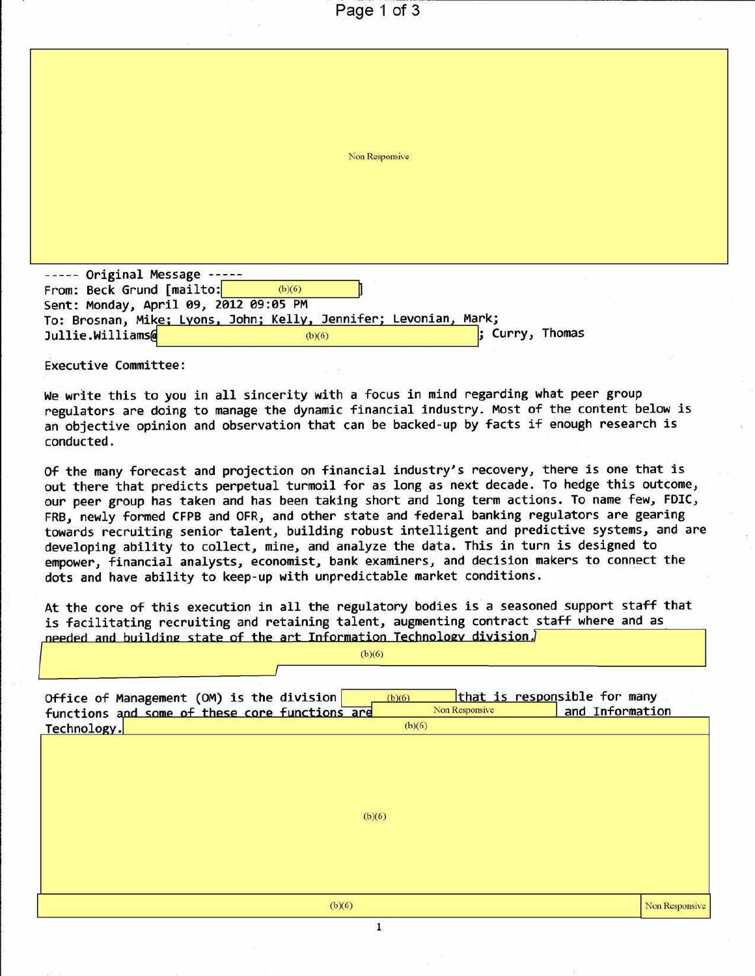|                                                                  | Page 1 of 3    |                 |  |
|------------------------------------------------------------------|----------------|-----------------|--|
|                                                                  |                |                 |  |
|                                                                  |                |                 |  |
|                                                                  |                |                 |  |
|                                                                  |                |                 |  |
|                                                                  |                |                 |  |
|                                                                  | Non Responsive |                 |  |
|                                                                  |                |                 |  |
|                                                                  |                |                 |  |
|                                                                  |                |                 |  |
|                                                                  |                |                 |  |
| Original Message -----                                           |                |                 |  |
| From: Beck Grund [mailto:                                        | (b)(6)         |                 |  |
| Sent: Monday, April 09, 2012 09:05 PM                            |                |                 |  |
| To: Brosnan, Mike; Lyons, John; Kelly, Jennifer; Levonian, Mark; |                |                 |  |
| Jullie.Williams@                                                 | (b)(6)         | ; Curry, Thomas |  |

Executive Committee:

We write this to you in all sincerity with a focus in mind regarding what peer group regulators are doing to manage the dynamic financial industry. Most of the content below is an objective opinion and observation that can be backed-up by facts if enough research is conducted .

Of the many forecast and projection on financial industry's recovery, there is one that is out there that predicts perpetual turmoil for as long as next decade. To hedge this outcome, our peer group has taken and has been taking short and long term actions. To name few, FDIC, FRB, newly formed CFPB and OFR, and other state and federal banking regulators are gearing towards recruiting senior talent, building robust intelligent and predictive systems, and are developing ability to collect, mine, and analyze the data. This in turn is designed to empower, financial analysts, economist, bank examiners, and decision makers to connect the dots and have ability to keep-up with unpredictable market conditions.

At the core of this execution in all the regulatory bodies is a seasoned support staff that is facilitating recruiting and retaining talent, augmenting contract staff where and as needed and building state of the art Information Technology division.  $\sqrt{\frac{1}{2} \frac{1}{1 - \frac{1}{1}}$ 

| Office of Management (OM) is the division<br>functions and some of these core functions are | (b)(6) | Non Responsive | that is responsible for many<br>and Information |
|---------------------------------------------------------------------------------------------|--------|----------------|-------------------------------------------------|
| Technology.                                                                                 | (b)(6) |                |                                                 |
|                                                                                             | (b)(6) |                |                                                 |
|                                                                                             | (b)(6) |                | Non Responsive                                  |
|                                                                                             |        |                |                                                 |
|                                                                                             |        |                |                                                 |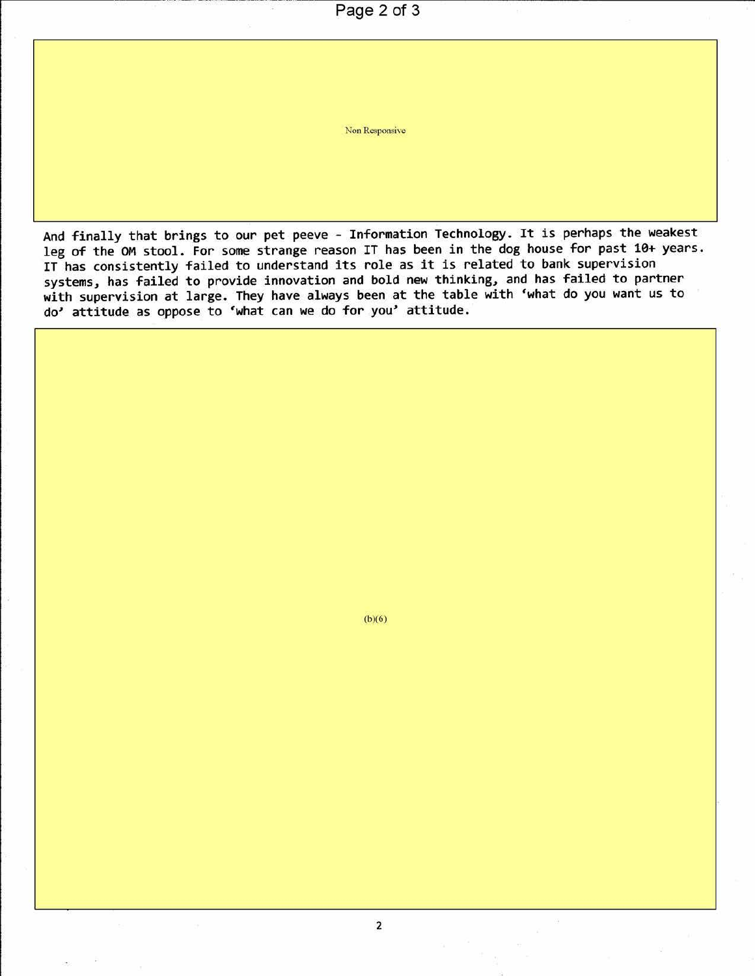Page 2 of 3

Non Responsive

And finally that brings to our pet peeve - Information Technology. It is perhaps the weakest leg of the OM stool. For some strange reason IT has been in the dog house for past 10+ years. IT has consistently failed to understand its role as it is related to bank supervision systems, has failed to provide innovation and bold new thinking, and has failed to partner with supervision at large. They have always been at the table with 'what do you want us to do' attitude as oppose to 'what can we do for you' attitude .

(b)(6)

2